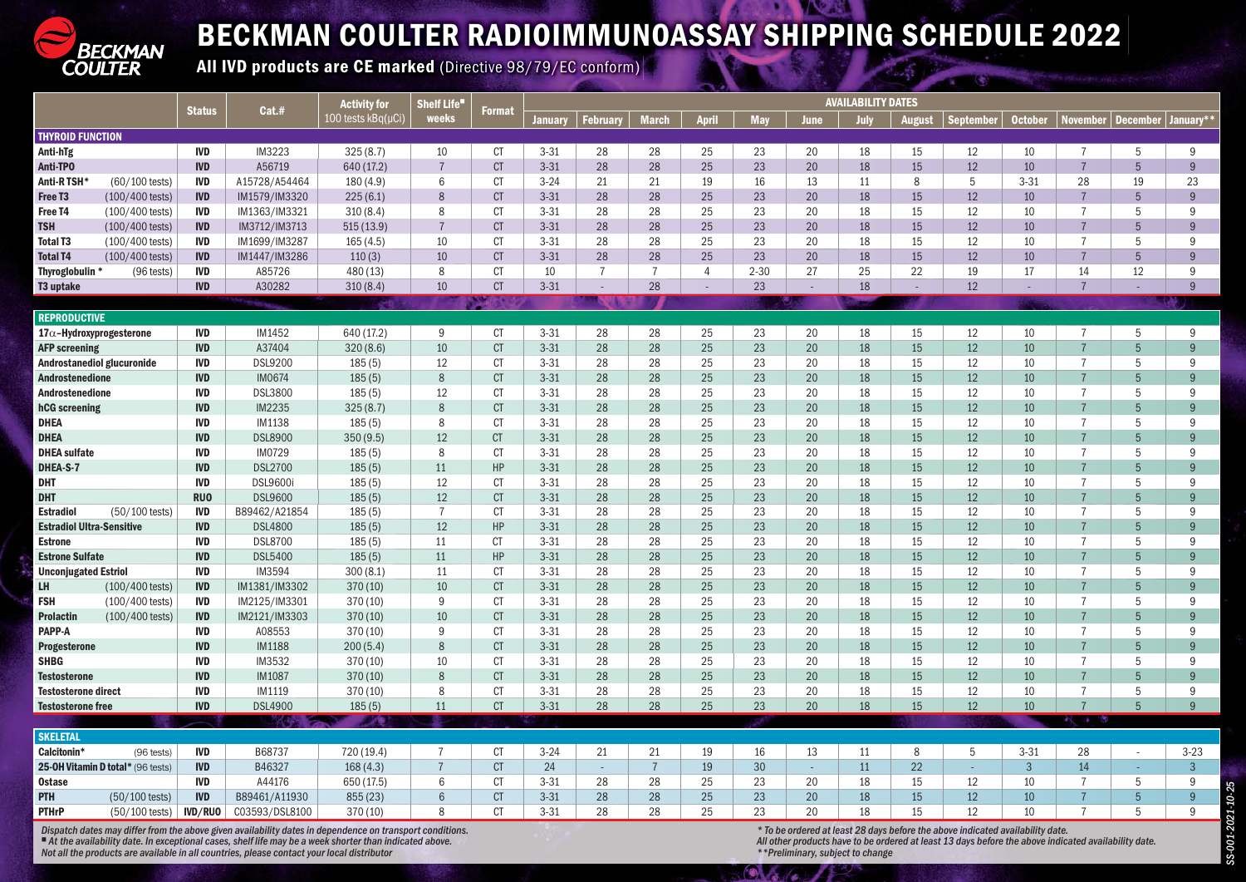

## BECKMAN COULTER RADIOIMMUNOASSAY SHIPPING SCHEDULE 2022

All IVD products are CE marked (Directive 98/79/EC conform)

|                                  |                                   |                          | Cat.#                    | <b>Activity for</b><br>100 tests kBq(µCi)                                                                | <b>Shelf Life</b><br>weeks |                        | <b>AVAILABILITY DATES</b> |                |                |              |            |          |          |               |                                                                                |                |                                  |                     |                |
|----------------------------------|-----------------------------------|--------------------------|--------------------------|----------------------------------------------------------------------------------------------------------|----------------------------|------------------------|---------------------------|----------------|----------------|--------------|------------|----------|----------|---------------|--------------------------------------------------------------------------------|----------------|----------------------------------|---------------------|----------------|
|                                  |                                   | <b>Status</b>            |                          |                                                                                                          |                            | <b>Format</b>          | <b>January</b>            | <b>Februar</b> | <b>March</b>   | <b>April</b> | <b>May</b> | June     | July     | <b>August</b> | <b>September</b>                                                               | <b>October</b> | <b>November</b>                  | <b>December</b>     | January*'      |
| <b>THYROID FUNCTION</b>          |                                   |                          |                          |                                                                                                          |                            |                        |                           |                |                |              |            |          |          |               |                                                                                |                |                                  |                     |                |
| Anti-hTg                         |                                   | <b>IVD</b>               | IM3223                   | 325(8.7)                                                                                                 | 10                         | <b>CT</b>              | $3 - 31$                  | 28             | 28             | 25           | 23         | 20       | 18       | 15            | 12                                                                             | 10             | $\overline{7}$                   | 5                   | 9              |
| Anti-TPO                         |                                   | <b>IVD</b>               | A56719                   | 640 (17.2)                                                                                               |                            | CT                     | $3 - 31$                  | 28             | 28             | 25           | 23         | 20       | 18       | 15            | 12                                                                             | 10             | $\overline{7}$                   | $5\overline{)}$     | 9              |
| <b>Anti-RTSH</b>                 | $(60/100 \text{ tests})$          | <b>IVD</b>               | A15728/A54464            | 180(4.9)                                                                                                 | 6                          | <b>CT</b>              | $3 - 24$                  | 21             | 21             | 19           | 16         | 13       | 11       | 8             | 5                                                                              | $3 - 31$       | 28                               | 19                  | 23             |
| Free T <sub>3</sub>              | (100/400 tests)                   | <b>IVD</b>               | IM1579/IM3320            | 225(6.1)                                                                                                 | 8                          | CT                     | $3 - 31$                  | 28             | 28             | 25           | 23         | 20       | 18       | 15            | 12                                                                             | 10             | $\overline{7}$                   | 5                   | 9              |
| Free T4                          | (100/400 tests)                   | <b>IVD</b>               | IM1363/IM3321            | 310(8.4)                                                                                                 | 8                          | <b>CT</b>              | $3 - 31$                  | 28             | 28             | 25           | 23         | 20       | 18       | 15            | 12                                                                             | 10             | $\overline{7}$                   | 5                   | 9              |
| <b>TSH</b>                       | (100/400 tests)                   | <b>IVD</b>               | IM3712/IM3713            | 515(13.9)                                                                                                |                            | CT                     | $3 - 31$                  | 28             | 28             | 25           | 23         | 20       | 18       | 15            | 12                                                                             | 10             | $\overline{7}$                   | 5                   | 9              |
| <b>Total T3</b>                  | (100/400 tests)                   | <b>IVD</b>               | IM1699/IM3287            | 165(4.5)                                                                                                 | 10                         | <b>CT</b>              | $3 - 31$                  | 28             | 28             | 25           | 23         | 20       | 18       | 15            | 12                                                                             | 10             | $\overline{7}$                   | 5                   | 9              |
| <b>Total T4</b>                  | (100/400 tests)                   | <b>IVD</b>               | IM1447/IM3286            | 110(3)                                                                                                   | 10                         | CT                     | $3 - 31$                  | 28             | 28             | 25           | 23         | 20       | 18       | 15            | 12                                                                             | 10             | $\overline{7}$                   | $\overline{5}$      | $\overline{9}$ |
| Thyroglobulin <sup>3</sup>       | (96 tests)                        | <b>IVD</b>               | A85726                   | 480 (13)                                                                                                 | 8                          | <b>CT</b>              | 10                        | $\overline{7}$ | 7              | 4            | $2 - 30$   | 27       | 25       | 22            | 19                                                                             | 17             | 14                               | 12                  | 9              |
| <b>T3 uptake</b>                 |                                   | <b>IVD</b>               | A30282                   | 310(8.4)                                                                                                 | 10                         | CT                     | $3 - 31$                  |                | 28             | $\sim$       | 23         | $\sim$   | 18       |               | 12                                                                             |                | $\overline{7}$                   |                     | $\mathbf{q}$   |
|                                  |                                   |                          |                          |                                                                                                          |                            |                        |                           |                |                |              |            |          |          |               |                                                                                |                |                                  |                     |                |
| <b>REPRODUCTIVE</b>              |                                   |                          |                          |                                                                                                          |                            |                        |                           |                |                |              |            |          |          |               |                                                                                |                |                                  |                     |                |
|                                  | 17 $\alpha$ -Hydroxyprogesterone  | <b>IVD</b>               | IM1452                   | 640 (17.2)                                                                                               | 9                          | <b>CT</b>              | $3 - 31$                  | 28             | 28             | 25           | 23         | 20       | 18       | 15            | 12                                                                             | 10             | $\overline{7}$                   | 5                   | 9              |
| <b>AFP screening</b>             |                                   | <b>IVD</b>               | A37404                   | 320(8.6)                                                                                                 | 10                         | CT                     | $3 - 31$                  | 28             | 28             | 25           | 23         | 20       | 18       | 15            | 12                                                                             | 10             | $\overline{7}$                   | $5\overline{)}$     | 9              |
|                                  | Androstanediol glucuronide        | <b>IVD</b>               | <b>DSL9200</b>           | 185(5)                                                                                                   | 12                         | <b>CT</b>              | $3 - 31$                  | 28             | 28             | 25           | 23         | 20       | 18       | 15            | 12                                                                             | 10             | $\overline{7}$                   | 5                   | 9              |
| Androstenedione                  |                                   | <b>IVD</b>               | <b>IM0674</b>            | 185(5)                                                                                                   | 8                          | CT                     | $3 - 31$                  | 28             | 28             | 25           | 23         | 20       | 18       | 15            | 12                                                                             | 10             | $\overline{7}$                   | 5                   | 9              |
| <b>Androstenedione</b>           |                                   | <b>IVD</b>               | <b>DSL3800</b>           | 185(5)                                                                                                   | 12                         | <b>CT</b>              | $3 - 31$                  | 28             | 28             | 25           | 23         | 20       | 18       | 15            | 12                                                                             | 10             | $\overline{7}$                   | 5                   | 9              |
| hCG screening                    |                                   | <b>IVD</b>               | IM2235                   | 325(8.7)                                                                                                 | 8<br>8                     | CT                     | $3 - 31$                  | 28             | 28             | 25           | 23         | 20       | 18       | 15            | 12                                                                             | 10             | $\overline{7}$                   | $\overline{5}$<br>5 | 9<br>9         |
| <b>DHEA</b><br><b>DHEA</b>       |                                   | <b>IVD</b><br><b>IVD</b> | IM1138<br><b>DSL8900</b> | 185(5)                                                                                                   | 12                         | <b>CT</b><br><b>CT</b> | $3 - 31$<br>$3 - 31$      | 28<br>28       | 28<br>28       | 25<br>25     | 23<br>23   | 20<br>20 | 18<br>18 | 15<br>15      | 12<br>12                                                                       | 10<br>10       | $\overline{7}$<br>$\overline{7}$ | 5                   | 9              |
| <b>DHEA</b> sulfate              |                                   | <b>IVD</b>               | <b>IM0729</b>            | 350 (9.5)<br>185(5)                                                                                      | 8                          | <b>CT</b>              | $3 - 31$                  | 28             | 28             | 25           | 23         | 20       | 18       | 15            | 12                                                                             | 10             | $\overline{7}$                   | 5                   | 9              |
| DHEA-S-7                         |                                   | <b>IVD</b>               | <b>DSL2700</b>           | 185(5)                                                                                                   | 11                         | HP                     | $3 - 31$                  | 28             | 28             | 25           | 23         | 20       | 18       | 15            | 12                                                                             | 10             | $\overline{7}$                   | 5                   | 9              |
| <b>DHT</b>                       |                                   | <b>IVD</b>               | <b>DSL9600i</b>          | 185(5)                                                                                                   | 12                         | <b>CT</b>              | $3 - 31$                  | 28             | 28             | 25           | 23         | 20       | 18       | 15            | 12                                                                             | 10             | $\overline{7}$                   | 5                   | 9              |
| <b>DHT</b>                       |                                   | <b>RUO</b>               | <b>DSL9600</b>           | 185(5)                                                                                                   | 12                         | CT                     | $3 - 31$                  | 28             | 28             | 25           | 23         | 20       | 18       | 15            | 12                                                                             | 10             | $\overline{7}$                   | 5                   | 9              |
| <b>Estradiol</b>                 | (50/100 tests)                    | <b>IVD</b>               | B89462/A21854            | 185(5)                                                                                                   | $\overline{7}$             | <b>CT</b>              | $3 - 31$                  | 28             | 28             | 25           | 23         | 20       | 18       | 15            | 12                                                                             | 10             | $\overline{7}$                   | 5                   | 9              |
| <b>Estradiol Ultra-Sensitive</b> |                                   | <b>IVD</b>               | <b>DSL4800</b>           | 185(5)                                                                                                   | 12                         | HP                     | $3 - 31$                  | 28             | 28             | 25           | 23         | 20       | 18       | 15            | 12                                                                             | 10             | $\overline{7}$                   | $5\overline{)}$     | 9              |
| <b>Estrone</b>                   |                                   | <b>IVD</b>               | <b>DSL8700</b>           | 185(5)                                                                                                   | 11                         | <b>CT</b>              | $3 - 31$                  | 28             | 28             | 25           | 23         | 20       | 18       | 15            | 12                                                                             | 10             | $\overline{7}$                   | 5                   | 9              |
| <b>Estrone Sulfate</b>           |                                   | <b>IVD</b>               | <b>DSL5400</b>           | 185(5)                                                                                                   | 11                         | HP                     | $3 - 31$                  | 28             | 28             | 25           | 23         | 20       | 18       | 15            | 12                                                                             | 10             | $\overline{7}$                   | 5                   | 9              |
| <b>Unconjugated Estriol</b>      |                                   | <b>IVD</b>               | IM3594                   | 300(8.1)                                                                                                 | 11                         | <b>CT</b>              | $3 - 31$                  | 28             | 28             | 25           | 23         | 20       | 18       | 15            | 12                                                                             | 10             | $\overline{7}$                   | 5                   | 9              |
| LH                               | (100/400 tests)                   | <b>IVD</b>               | IM1381/IM3302            | 370 (10)                                                                                                 | 10                         | CT                     | $3 - 31$                  | 28             | 28             | 25           | 23         | 20       | 18       | 15            | 12                                                                             | 10             | $\overline{7}$                   | 5                   | 9              |
| <b>FSH</b>                       | (100/400 tests)                   | <b>IVD</b>               | IM2125/IM3301            | 370 (10)                                                                                                 | 9                          | <b>CT</b>              | $3 - 31$                  | 28             | 28             | 25           | 23         | 20       | 18       | 15            | 12                                                                             | 10             | $\overline{7}$                   | 5                   | 9              |
| <b>Prolactin</b>                 | (100/400 tests)                   | <b>IVD</b>               | IM2121/IM3303            | 370 (10)                                                                                                 | 10                         | CT                     | $3 - 31$                  | 28             | 28             | 25           | 23         | 20       | 18       | 15            | 12                                                                             | 10             | $\overline{7}$                   | $5\overline{)}$     | 9              |
| PAPP-A                           |                                   | <b>IVD</b>               | A08553                   | 370 (10)                                                                                                 | 9                          | <b>CT</b>              | $3 - 31$                  | 28             | 28             | 25           | 23         | 20       | 18       | 15            | 12                                                                             | 10             | $\overline{7}$                   | 5                   | 9              |
| <b>Progesterone</b>              |                                   | <b>IVD</b>               | <b>IM1188</b>            | 200(5.4)                                                                                                 | 8                          | CT                     | $3 - 31$                  | 28             | 28             | 25           | 23         | 20       | 18       | 15            | 12                                                                             | 10             | $\overline{7}$                   | 5                   | 9              |
| <b>SHBG</b>                      |                                   | <b>IVD</b>               | IM3532                   | 370 (10)                                                                                                 | 10                         | <b>CT</b>              | $3 - 31$                  | 28             | 28             | 25           | 23         | 20       | 18       | 15            | 12                                                                             | 10             | $\overline{7}$                   | 5                   | 9              |
| <b>Testosterone</b>              |                                   | <b>IVD</b>               | <b>IM1087</b>            | 370 (10)                                                                                                 | 8                          | CT                     | $3 - 31$                  | 28             | 28             | 25           | 23         | 20       | 18       | 15            | 12                                                                             | 10             | $\overline{7}$                   | $5\overline{)}$     | 9              |
| <b>Testosterone direct</b>       |                                   | <b>IVD</b>               | IM1119                   | 370 (10)                                                                                                 | 8                          | <b>CT</b>              | $3 - 31$                  | 28             | 28             | 25           | 23         | 20       | 18       | 15            | 12                                                                             | 10             | $\overline{7}$                   | 5                   | 9              |
| <b>Testosterone free</b>         |                                   | <b>IVD</b>               | <b>DSL4900</b>           | 185(5)                                                                                                   | 11                         | CT                     | $3 - 31$                  | 28             | 28             | 25           | 23         | 20       | 18       | 15            | 12                                                                             | 10             | $\overline{7}$                   | $5\overline{)}$     | 9              |
|                                  |                                   |                          | M 95.                    | ాం                                                                                                       |                            |                        |                           |                |                |              |            |          |          |               |                                                                                |                | $\sim$ $\sim$                    |                     |                |
| <b>SKELETAL</b>                  |                                   |                          |                          |                                                                                                          |                            |                        |                           |                |                |              |            |          |          |               |                                                                                |                |                                  |                     |                |
| Calcitonin <sup>*</sup>          | $(96 \text{ tests})$              | <b>IVD</b>               | B68737                   | 720 (19.4)                                                                                               | $\overline{7}$             | СT                     | $3 - 24$                  | 21             | 21             | 19           | 16         | 13       | 11       | 8             | 5                                                                              | $3 - 31$       | 28                               |                     | $3 - 23$       |
|                                  | 25-OH Vitamin D total* (96 tests) | <b>IVD</b>               | B46327                   | 168(4.3)                                                                                                 | $\overline{7}$             | <b>CT</b>              | 24                        | $\sim$         | $\overline{7}$ | 19           | 30         | $\sim$   | 11       | 22            | $\omega$                                                                       | $\overline{3}$ | 14                               | $\sim$              | $\mathbf{3}$   |
| <b>Ostase</b>                    |                                   | <b>IVD</b>               | A44176                   | 650 (17.5)                                                                                               | 6                          | <b>CT</b>              | $3 - 31$                  | 28             | 28             | 25           | 23         | 20       | 18       | 15            | 12                                                                             | 10             | $\overline{7}$                   | 5                   | 9              |
| <b>PTH</b>                       | $(50/100 \text{ tests})$          | <b>IVD</b>               | B89461/A11930            | 855 (23)                                                                                                 | $6\phantom{1}6$            | CT                     | $3 - 31$                  | 28             | 28             | 25           | 23         | 20       | 18       | 15            | 12                                                                             | 10             | $\overline{7}$                   | 5                   | 9              |
| <b>PTHrP</b>                     | $(50/100$ tests)                  | <b>IVD/RUO</b>           | C03593/DSL8100           | 370(10)                                                                                                  | 8                          | <b>CT</b>              | $3 - 31$                  | 28             | 28             | 25           | 23         | 20       | 18       | 15            | 12                                                                             | 10             | $\overline{7}$                   | 5                   | 9              |
|                                  |                                   |                          |                          | Dispatch dates may differ from the above given availability dates in dependence on transport conditions. |                            |                        |                           |                |                |              |            |          |          |               | * To be ordered at least 28 days before the above indicated availability date. |                |                                  |                     |                |

Dispatch dates may differ from the above given availability dates in dependence on transport conditions.<br>■ At the availability date. In exceptional cases, shelf life may be a week shorter than indicated above. *Not all the products are available in all countries, please contact your local distributor*

*\* To be ordered at least 28 days before the above indicated availability date. All other products have to be ordered at least 13 days before the above indicated availability date. \*\*Preliminary, subject to change*

 $\bullet$